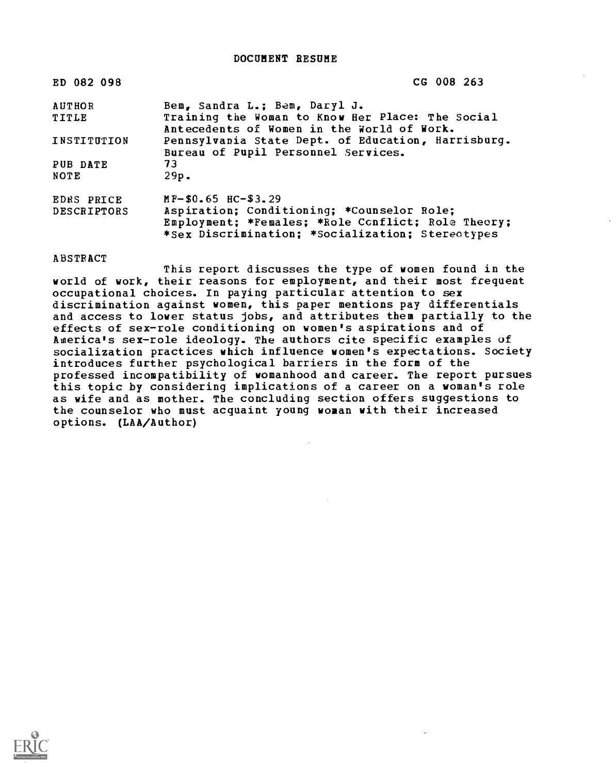| ED 082 098         | CG 008 263                                                                                                                                                                                  |  |
|--------------------|---------------------------------------------------------------------------------------------------------------------------------------------------------------------------------------------|--|
| <b>AUTHOR</b>      | Bem, Sandra L.; Bem, Daryl J.                                                                                                                                                               |  |
| TITLE              | Training the Woman to Know Her Place: The Social<br>Antecedents of Women in the World of Work.<br>Pennsylvania State Dept. of Education, Harrisburg.<br>Bureau of Pupil Personnel Services. |  |
| INSTITUTION        |                                                                                                                                                                                             |  |
| PUB DATE           | 73                                                                                                                                                                                          |  |
| NOTE               | 29p.                                                                                                                                                                                        |  |
| EDRS PRICE         | $MF-$0.65$ $HC-$3.29$                                                                                                                                                                       |  |
| <b>DESCRIPTORS</b> | Aspiration; Conditioning; *Counselor Role;<br>Employment; *Females; *Role Conflict; Role Theory;                                                                                            |  |
|                    | *Sex Discrimination; *Socialization; Sterectypes                                                                                                                                            |  |

#### ABSTRACT

This report discusses the type of women found in the world of work, their reasons for employment, and their most frequent occupational choices. In paying particular attention to sex discrimination against women, this paper mentions pay differentials and access to lower status jobs, and attributes them partially to the effects of sex-role conditioning on women's aspirations and of America's sex-role ideology. The authors cite specific examples of socialization practices which influence women's expectations. Society introduces further psychological barriers in the form of the professed incompatibility of womanhood and career. The report pursues this topic by considering implications of a career on a woman's role as wife and as mother. The concluding section offers suggestions to the counselor who must acquaint young woman with their increased options. (LAA/Author)

 $\sim$ 

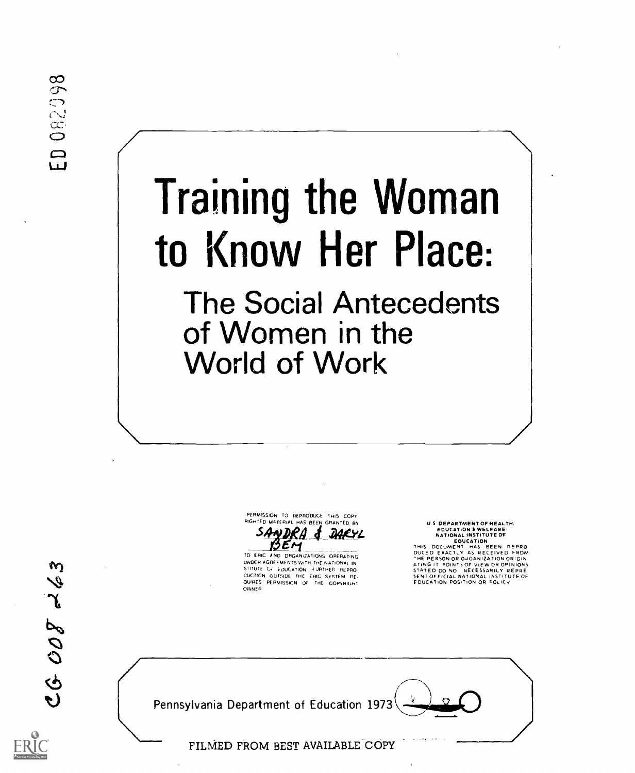# Training the Woman to Know Her Place:

The Social Antecedents of Women in the World of Work

m,  $260806$ 

PERMISSION TO REPRODUCE THIS COPY- RIGHTED MATERIAL HAS BEEN GRANTED RI



TO ERIC AND DRGANIZATIONS OPERATING UNDER AGREEMENTS WITH THE NATIONAL IN STITUTE Gi FOUC.ATION FURTHER REPRO. SUCTION OUTSIDE THE ERIC SYSTEM RE. OUIRES PERMISSION OF THE COPYRIGHT OWNER

U.S DEPARTMENT OF HEALTH.<br>EDUCATION 3 WELFARE<br>NATIONAL INSTITUTE OF

EOUCATION<br>THIS DOCUMENT HAS BEEN REPRO<br>DUCED EXACTLY AS RECEIVED FROM<br>"HE PERSON OR ORGANIZATION ORIGIN ATING IT POINT) OF VIEW OR OPINIONS<br>STATED DO NO - NECESSARILY REPRE<br>SENT OFFICIAL NATIONAL INSTITUTE OF EDUCATION POSITION OR °OLICY

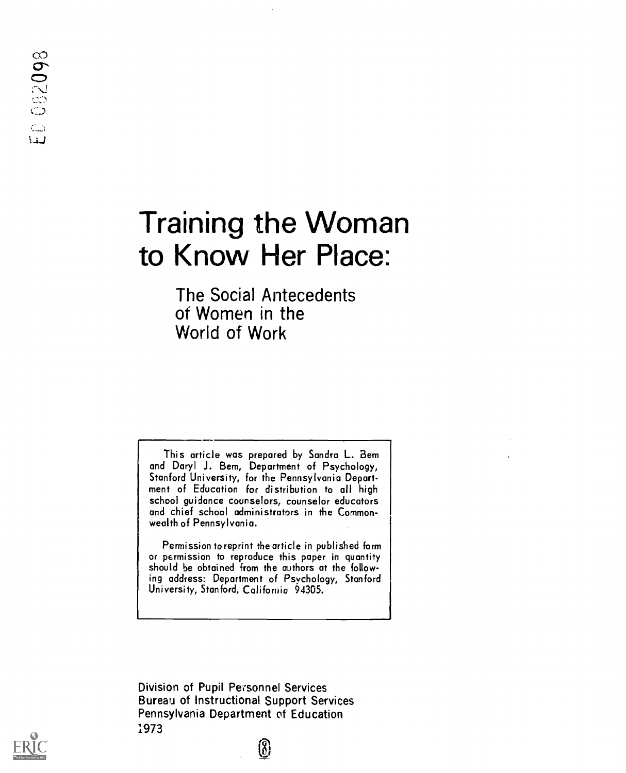# Training the Woman to Know Her Place:

The Social Antecedents of Women in the World of Work

This article was prepared by Sandra L. Bem and Daryl J. Bem, Department of Psychology, Stanford University, for the Pennsylvania Department of Education for distribution to all high school guidance counselors, counselor educators and chief school administrators in the Commonwealth of Pennsylvania.

Permission to reprint the article in published form or permission to reproduce this paper in quantity should be obtained from the authors at the following address: Department of Psychology, Stanford University, Stanford, California 94305.

Division of Pupil Personnel Services Bureau of Instructional Support Services Pennsylvania Department of Education 1973

 $\left\{ \delta\right\}$ 

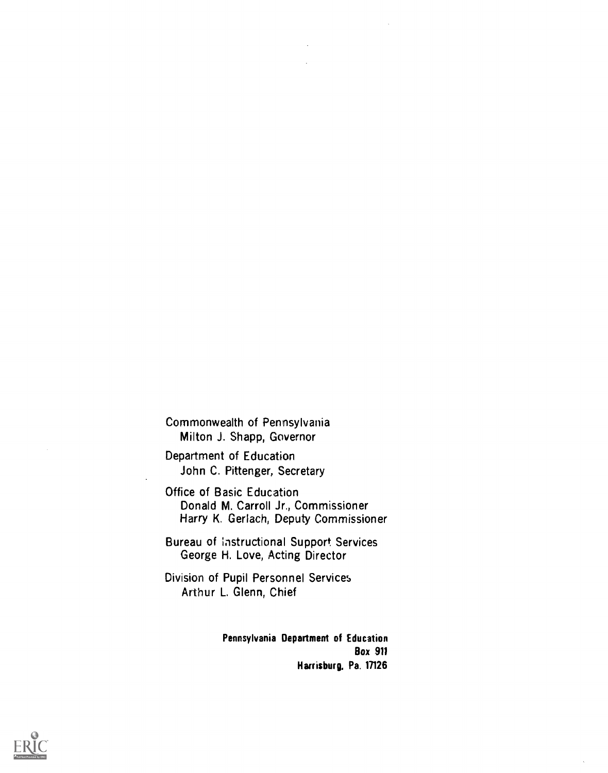Commonwealth of Pennsylvania Milton J. Shapp, Governor

Department of Education John C. Pittenger, Secretary

Office of Basic Education Donald M. Carroll Jr., Commissioner Harry K. Gerlach, Deputy Commissioner

Bureau of lastructional Support Services George H. Love, Acting Director

Division of Pupil Personnel Services Arthur L. Glenn, Chief

> Pennsylvania Department of Education Box 911 Harrisburg, Pa. 17126

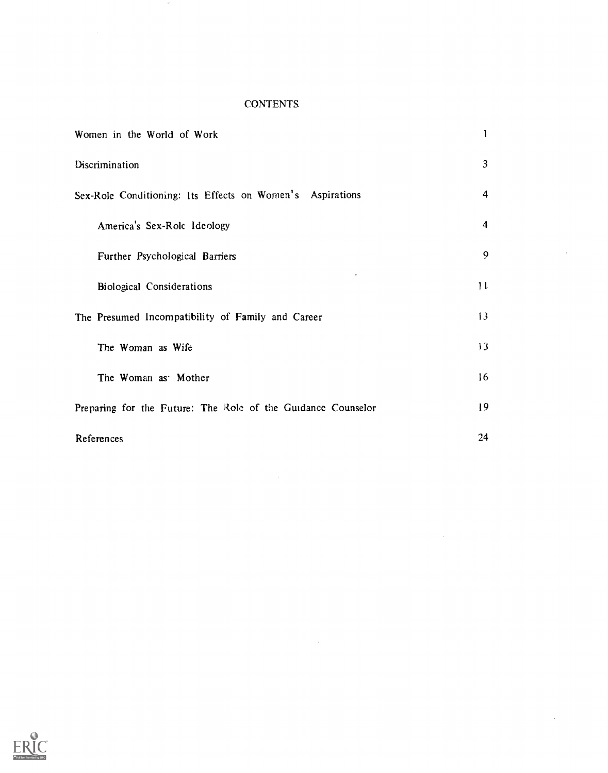# **CONTENTS**

 $\sim$ 

| Women in the World of Work                                         | 1  |  |
|--------------------------------------------------------------------|----|--|
| Discrimination                                                     | 3  |  |
| Sex-Role Conditioning: Its Effects on Women's Aspirations          | 4  |  |
| America's Sex-Role Ideology                                        | 4  |  |
| Further Psychological Barriers                                     | 9  |  |
| <b>Biological Considerations</b>                                   | 11 |  |
| The Presumed Incompatibility of Family and Career                  | 13 |  |
| The Woman as Wife                                                  | 13 |  |
| The Woman as Mother                                                | 16 |  |
| 19<br>Preparing for the Future: The Role of the Guidance Counselor |    |  |
| References                                                         | 24 |  |

 $\sim$ 

 $\bar{z}$ 

 $\bar{z}$ 



 $\bar{z}$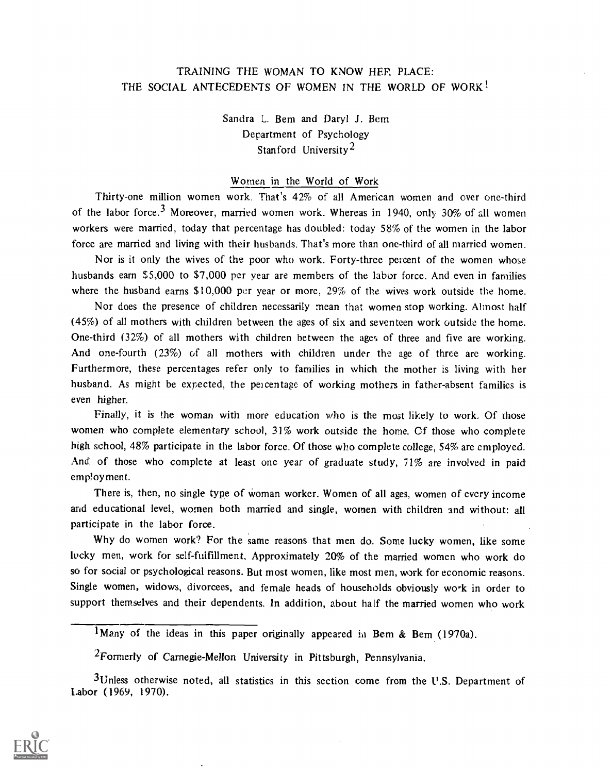## TRAINING THE WOMAN TO KNOW HER PLACE: THE SOCIAL ANTECEDENTS OF WOMEN IN THE WORLD OF WORK<sup>!</sup>

Sandra L. Bern and Daryl J. Bem Department of Psychology Stanford University<sup>2</sup>

#### Women in the World of Work

Thirty-one million women work. That's 42% of all American women and over one-third of the labor force.<sup>3</sup> Moreover, married women work. Whereas in 1940, only 30% of all women workers were married, today that percentage has doubled: today 58% of the women in the labor force are married and living with their husbands. That's more than one-third of all married women.

Nor is it only the wives of the poor who work. Forty-three percent of the women whose husbands earn \$5,000 to \$7,000 per year are members of the labor force. And even in families where the husband earns  $$10,000$  per year or more, 29% of the wives work outside the home.

Nor does the presence of children necessarily mean that women stop working. Almost half (45%) of all mothers with children between the ages of six and seventeen work outside the home. One-third (32%) of all mothers with children between the ages of three and five are working. And one-fourth (23%) of all mothers with children under the age of three are working. Furthermore, these percentages refer only to families in which the mother is living with her husband. As might be expected, the percentage of working mothers in father-absent families is even higher.

Finally, it is the woman with more education who is the most likely to work. Of those women who complete elementary school, 31% work outside the home. Of those who complete high school, 48% participate in the labor force. Of those who complete college, 54% are employed. And of those who complete at least one year of graduate study, 71% are involved in paid emp!oyment.

There is, then, no single type of woman worker. Women of all ages, women of every income and educational level, women both married and single, women with children and without: all participate in the labor force.

Why do women work? For the same reasons that men do. Some lucky women, like some lucky men, work for self-fulfillment. Approximately 20% of the married women who work do so for social or psychological reasons. But most women, like most men, work for economic reasons. Single women, widows, divorcees, and female heads of households obviously work in order to support themselves and their dependents. In addition, about half the married women who work

<sup>3</sup>Unless otherwise noted, all statistics in this section come from the U.S. Department of Labor (1969, 1970).



<sup>1</sup>Many of the ideas in this paper originally appeared in Bem & Bem (1970a).

<sup>&</sup>lt;sup>2</sup>Formerly of Carnegie-Mellon University in Pittsburgh, Pennsylvania.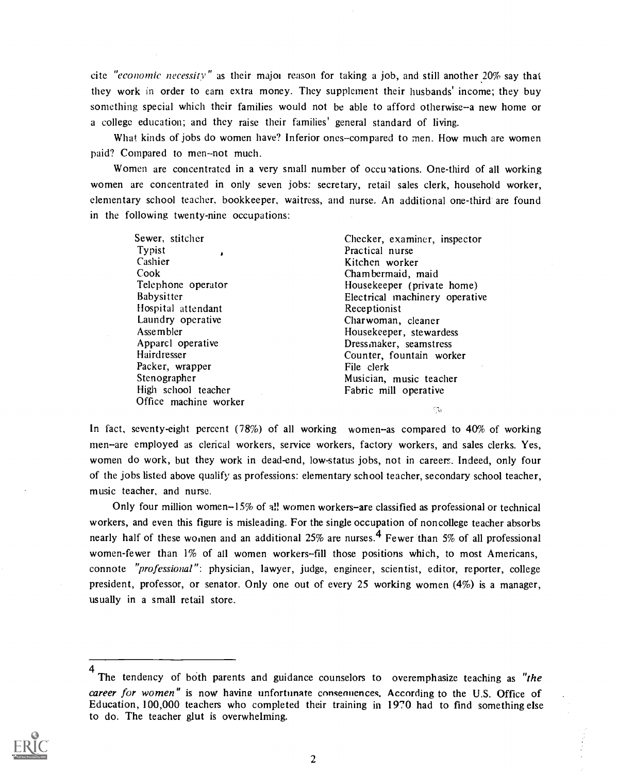cite "economic necessity" as their major reason for taking a job, and still another 20% say that they work in order to earn extra money. They supplement their husbands' income; they buy something special which their families would not be able to afford otherwise-a new home or a college education; and they raise their families' general standard of living.

What kinds of jobs do women have? Inferior ones-compared to men. How much are women paid? Compared to men--not much.

Women are concentrated in a very small number of occupations. One-third of all working women are concentrated in only seven jobs: secretary, retail sales clerk, household worker, elementary school teacher, bookkeeper, waitress, and nurse, An additional one-third are found in the following twenty-nine occupations:

| Sewer, stitcher       | Checker, examiner, inspector   |
|-----------------------|--------------------------------|
| <b>Typist</b>         | Practical nurse                |
| Cashier               | Kitchen worker                 |
| Cook                  | Chambermaid, maid              |
| Telephone operator    | Housekeeper (private home)     |
| <b>Babysitter</b>     | Electrical machinery operative |
| Hospital attendant    | Receptionist                   |
| Laundry operative     | Charwoman, cleaner             |
| Assembler             | Housekeeper, stewardess        |
| Apparel operative     | Dressmaker, seamstress         |
| Hairdresser           | Counter, fountain worker       |
| Packer, wrapper       | File clerk                     |
| Stenographer          | Musician, music teacher        |
| High school teacher   | Fabric mill operative          |
| Office machine worker |                                |
|                       | ್ಯ                             |

In fact, seventy-eight percent  $(78%)$  of all working women-as compared to  $40%$  of working men-are employed as clerical workers, service workers, factory workers, and sales clerks. Yes, women do work, but they work in dead-end, low-status jobs, not in careers. Indeed, only four of the jobs listed above qualify as professions: elementary school teacher, secondary school teacher, music teacher, and nurse.

Only four million women-15% of  $a!!$  women workers-are classified as professional or technical workers, and even this figure is misleading. For the single occupation of noncollege teacher absorbs nearly half of these women and an additional 25% are nurses.<sup>4</sup> Fewer than 5% of all professional women-fewer than  $1\%$  of all women workers-fill those positions which, to most Americans, connote "professional": physician, lawyer, judge, engineer, scientist, editor, reporter, college president, professor, or senator. Only one out of every 25 working women (4%) is a manager, usually in a small retail store.

The tendency of both parents and guidance counselors to overemphasize teaching as "the career for women" is now having unfortunate consequences. According to the U.S. Office of Education, 100,000 teachers who completed their training in 1970 had to find something else to do. The teacher glut is overwhelming.

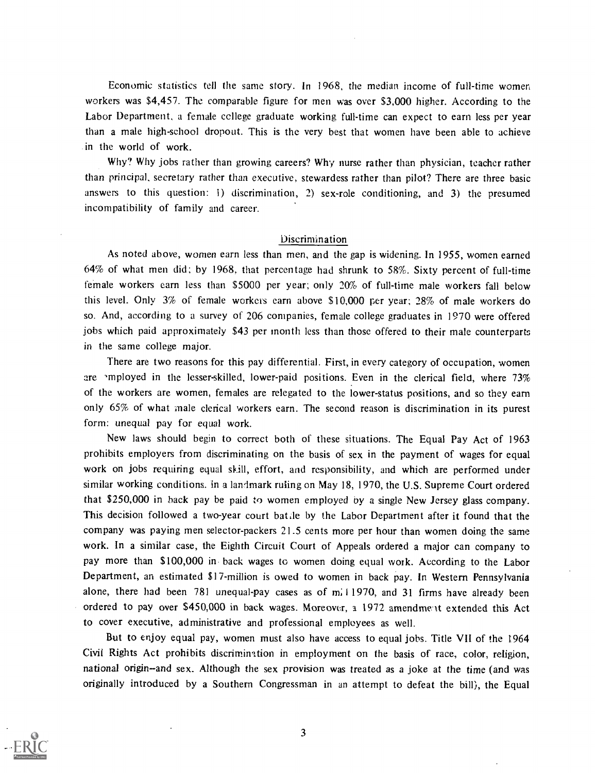Economic statistics tell the same story. In 1968, the median income of full-time women workers was \$4,457. The comparable figure for men was over \$3,000 higher. According to the Labor Department, a female college graduate working full-time can expect to earn less per year than a male high-school dropout. This is the very best that women have been able to achieve in the world of work.

Why? Why jobs rather than growing careers? Why nurse rather than physician, teacher rather than principal, secretary rather than executive, stewardess rather than pilot? There are three basic answers to this question: 1) discrimination, 2) sex-role conditioning, and 3) the presumed incompatibility of family and career.

#### Discrimination

As noted above, women earn less than men, and the gap is widening. In 1955, women earned 64% of what men did; by 1968, that percentage had shrunk to 58%. Sixty percent of full-time female workers earn less than \$5000 per year; only 20% of full-time male workers fall below this level. Only 3% of female workers earn above \$10,000 per year; 28% of male workers do so. And, according to a survey of 206 companies, female college graduates in 1970 were offered jobs which paid approximately \$43 per month less than those offered to their male counterparts in the same college major.

There are two reasons for this pay differential. First, in every category of occupation, women are 'mployed in the lesser-skilled, lower-paid positions. Even in the clerical field, where 73% of the workers are women, females are relegated to the lower-status positions, and so they earn only  $65\%$  of what male clerical workers earn. The second reason is discrimination in its purest form: unequal pay for equal work.

New laws should begin to correct both of these situations. The Equal Pay Act of 1963 prohibits employers from discriminating on the basis of sex in the payment of wages for equal work on jobs requiring equal skill, effort, and responsibility, and which are performed under similar working conditions. in a landmark ruling on May 18, 1970, the U.S. Supreme Court ordered that \$250,000 in back pay be paid to women employed by a single New Jersey glass company. This decision followed a two-year court battle by the Labor Department after it found that the company was paying men selector-packers 21.5 cents more per hour than women doing the same work. In a similar case, the Eighth Circuit Court of Appeals ordered a major can company to pay more than \$100,000 in back wages to women doing equal work. According to the Labor Department, an estimated \$17-million is owed to women in back pay. In Western Pennsylvania alone, there had been 781 unequal-pay cases as of m; I 1970, and 31 firms have already been ordered to pay over \$450,000 in back wages. Moreover, a 1972 amendme. It extended this Act to cover executive, administrative and professional employees as well.

But to enjoy equal pay, women must also have access to equal jobs. Title VII of the 1964 Civil Rights Act prohibits discrimination in employment on the basis of race, color, religion, national origin-and sex. Although the sex provision was treated as a joke at the time (and was originally introduced by a Southern Congressman in an attempt to defeat the bill), the Equal

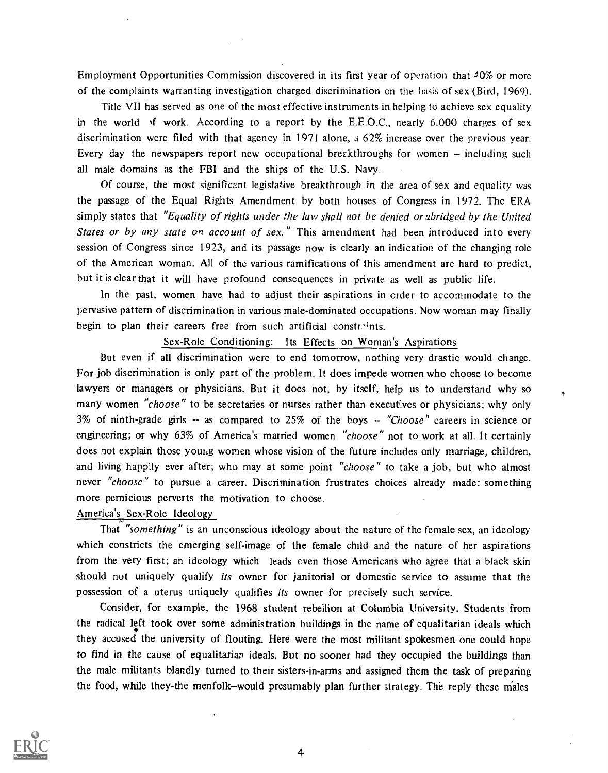Employment Opportunities Commission discovered in its first year of operation that 40% or more of the complaints warranting investigation charged discrimination on the basis of sex (Bird, 1969).

Title VII has served as one of the most effective instruments in helping to achieve sex equality in the world  $\mathbf{v}$  work. According to a report by the E.E.O.C., nearly 6,000 charges of sex discrimination were filed with that agency in 1971 alone, a 62% increase over the previous year. Every day the newspapers report new occupational breakthroughs for women  $-$  including such all male domains as the FBI and the ships of the U.S. Navy.

Of course, the most significant legislative breakthrough in the area of sex and equality was the passage of the Equal Rights Amendment by both houses of Congress in 1972. The ERA simply states that "Equality of rights under the law shall not be denied or abridged by the United States or by any state on account of sex." This amendment had been introduced into every session of Congress since 1923, and its passage now is clearly an indication of the changing role of the American woman. All of the various ramifications of this amendment are hard to predict, but it is clear that it will have profound consequences in private as well as public life.

In the past, women have had to adjust their aspirations in crder to accommodate to the pervasive pattern of discrimination in various male-dominated occupations. Now woman may finally begin to plan their careers free from such artificial constraints.

Sex-Role Conditioning: Its Effects on Woman's Aspirations

But even if all discrimination were to end tomorrow, nothing very drastic would change. For job discrimination is only part of the problem. It does impede women who choose to become lawyers or managers or physicians. But it does not, by itself, help us to understand why so many women "choose" to be secretaries or nurses rather than executives or physicians; why only 3% of ninth-grade girls -- as compared to 25% of the boys  $-$  "Choose" careers in science or engineering; or why 63% of America's married women "choose" not to work at all. It certainly does not explain those young women whose vision of the future includes only marriage, children, and living happily ever after; who may at some point "choose" to take a job, but who almost never "choose" to pursue a career. Discrimination frustrates choices already made: something more pernicious perverts the motivation to choose.

### America's Sex-Role Ideology

That "something" is an unconscious ideology about the nature of the female sex, an ideology which constricts the emerging self-image of the female child and the nature of her aspirations from the very first; an ideology which leads even those Americans who agree that a black skin should not uniquely qualify *its* owner for janitorial or domestic service to assume that the possession of a uterus uniquely qualifies its owner for precisely such service.

Consider, for example, the 1968 student rebellion at Columbia University. Students from the radical left took over some administration buildings in the name of equalitarian ideals which they accused the university of flouting. Here were the most militant spokesmen one could hope to find in the cause of equalitarian ideals. But no sooner had they occupied the buildings than the male militants blandly turned to their sisters-in-arms and assigned them the task of preparing the food, while they-the menfolk-would presumably plan further strategy. The reply these males

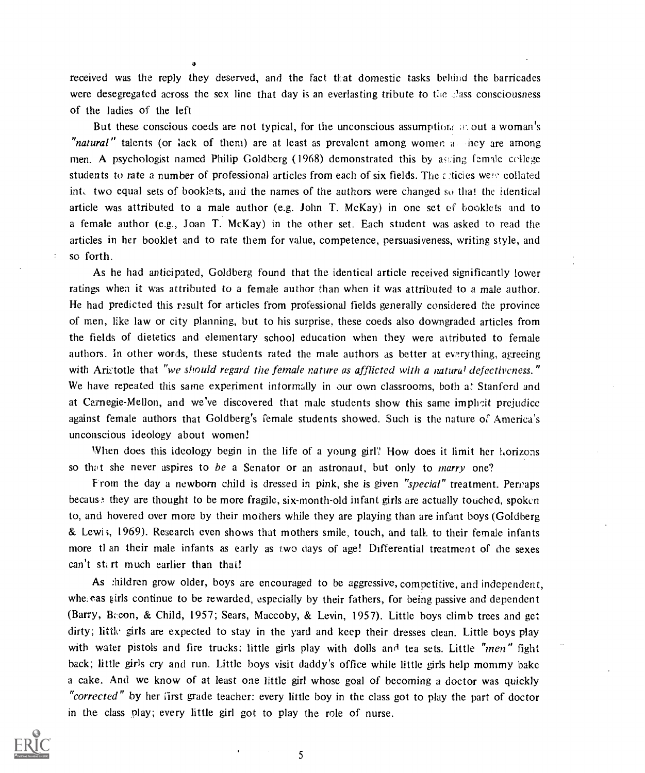received was the reply they deserved, and the fact that domestic tasks behind the barricades were desegregated across the sex line that day is an everlasting tribute to the class consciousness of the ladies of the left

But these conscious coeds are not typical, for the unconscious assumptions at out a woman's "natural" talents (or lack of them) are at least as prevalent among women as shey are among men. A psychologist named Philip Goldberg  $(1968)$  demonstrated this by assing female cellege students to rate a number of professional articles from each of six fields. The acticles were collated int, two equal sets of booklets, and the names of the authors were changed so that the identical article was attributed to a male author (e.g. John T. McKay) in one set of booklets and to a female author (e.g., Joan T. McKay) in the other set. Each student was asked to read the articles in her booklet and to rate them for value, competence, persuasiveness, writing style, and so forth.

As he had anticipated, Goldberg found that the identical article received significantly lower ratings when it was attributed to a female author than when it was attributed to a male author. He had predicted this result for articles from professional fields generally considered the province of men, like law or city planning, but to his surprise, these coeds also downgraded articles from the fields of dietetics and elementary school education when they were attributed to female authors. in other words, these students rated the male authors as better at everything, agreeing with Artistotle that "we should regard the female nature as afflicted with a natural defectiveness." We have repeated this same experiment informally in our own classrooms, both at Stanford and at Carnegie-Mellon, and we've discovered that male students show this same implicit prejudice against female authors that Goldberg's female students showed. Such is the nature of America's unconscious ideology about women!

When does this ideology begin in the life of a young girl? How does it limit her horizons so that she never aspires to be a Senator or an astronaut, but only to marry one?

From the day a newborn child is dressed in pink, she is given "special" treatment. Permaps because they are thought to be more fragile, six-month-old infant girls are actually touched, spoken to, and hovered over more by their mothers while they are playing than are infant boys (Goldberg & Lewi;, 1969). Research even shows that mothers smile, touch, and talk to their female infants more tl an their male infants as early as two days of age! Differential treatment of the sexes can't start much earlier than that!

As :hildren grow older, boys are encouraged to be aggressive, competitive, and independent, whereas girls continue to be rewarded, especially by their fathers, for being passive and dependent (Barry, Bacon, & Child, 1957; Sears, Maccoby, & Levin, 1957). Little boys climb trees and get dirty; little girls are expected to stay in the yard and keep their dresses clean. Little boys play with water pistols and fire trucks; little girls play with dolls and tea sets. Little "men" fight back; little girls cry and run. Little boys visit daddy's office while little girls help mommy bake a cake. And we know of at least one little girl whose goal of becoming a doctor was quickly "corrected" by her first grade teacher: every little boy in the class got to play the part of doctor in the class play; every little girl got to play the role of nurse.

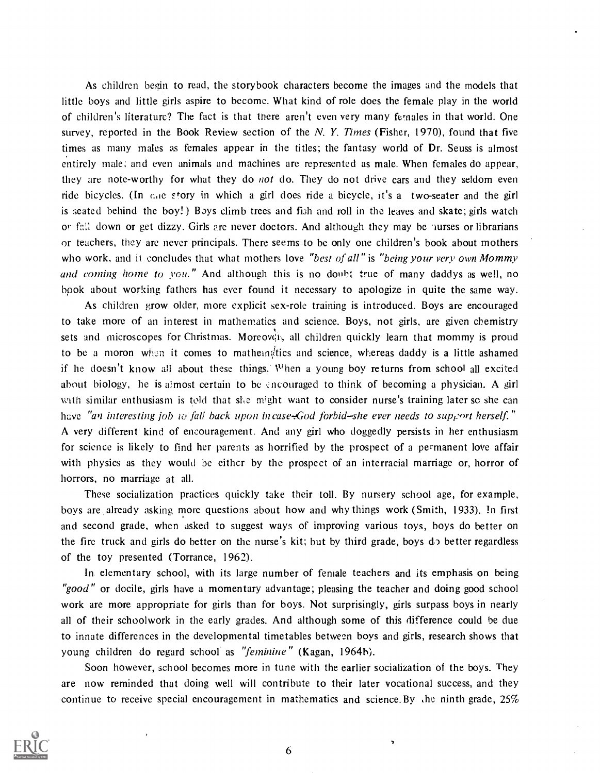As children begin to read, the storybook characters become the images and the models that little boys and little girls aspire to become. What kind of role does the female play in the world of children's literature? The fact is that there aren't even very many females in that world. One survey, reported in the Book Review section of the N. Y. Times (Fisher, 1970), found that five times as many males as females appear in the titles; the fantasy world of Dr. Seuss is almost entirely male; and even animals and machines are represented as male. When females do appear, they are note-worthy for what they do *not* do. They do not drive cars and they seldom even ride bicycles. (In r..le story in which a girl does ride a bicycle, it's a two-seater and the girl is seated behind the boy!) Boys climb trees and fish and roll in the leaves and skate; girls watch or fall down or get dizzy. Girls are never doctors. And although they may be nurses or librarians or teachers, they are never principals. There seems to be only one children's book about mothers who work, and it concludes that what mothers love "best of all" is "being your very own Mommy and coming home to you." And although this is no doubt true of many daddys as well, no book about working fathers has ever found it necessary to apologize in quite the same way.

As children grow older, more explicit sex-role training is introduced. Boys are encouraged to take more of an interest in mathematics and science. Boys, not girls, are given chemistry sets and microscopes for Christmas. Moreover, all children quickly learn that mommy is proud to be a moron when it comes to mathematics and science, whereas daddy is a little ashamed if he doesn't know all about these things. When a young boy returns from school all excited about biology, he is almost certain to be encouraged to think of becoming a physician. A girl with similar enthusiasm is told that she might want to consider nurse's training later so she can have "an interesting job to fall back upon in case-God forbid--she ever needs to support herself." A very different kind of encouragement. And any girl who doggedly persists in her enthusiasm for science is likely to find her parents as horrified by the prospect of a permanent love affair with physics as they would be either by the prospect of an interracial marriage or, horror of horrors, no marriage at all.

These socialization practices quickly take their toll. By nursery school age, for example, boys are already asking more questions about how and why things work (Smith, 1933). In first and second grade, when asked to suggest ways of improving various toys, boys do better on the fire truck and girls do better on the nurse's kit; but by third grade, boys di better regardless of the toy presented (Torrance, 1962).

In elementary school, with its large number of female teachers and its emphasis on being "good" or docile, girls have a momentary advantage; pleasing the teacher and doing good school work are more appropriate for girls than for boys. Not surprisingly, girls surpass boys in nearly all of their schoolwork in the early grades. And although some of this difference could be due to innate differences in the developmental timetables between boys and girls, research shows that young children do regard school as "feminine" (Kagan, 1964b).

Soon however, school becomes more in tune with the earlier socialization of the boys. They are now reminded that doing well will contribute to their later vocational success, and they continue to receive special encouragement in mathematics and science. By die ninth grade, 25%

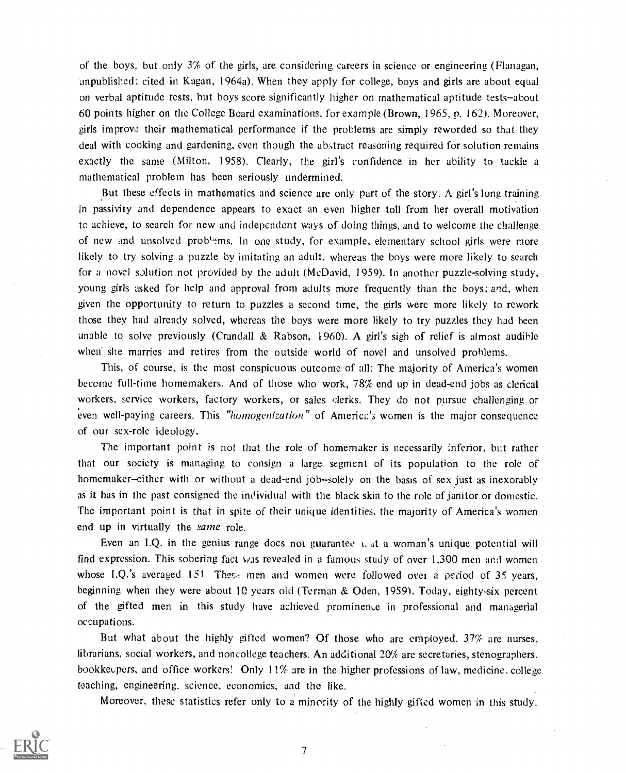of the boys, but only 3% of the girls, are considering careers in science or engineering (Flanagan, unpublished; cited in Kagan, I964a). When they apply for college, boys and girls are about equal on verbal aptitude tests, but boys score significantly higher on mathematical aptitude tests-about 60 points higher on the College Board examinations, for example (Brown, 1965, p. 162). Moreover, girls improve their mathematical performance if the problems are simply reworded so that they deal with cooking and gardening, even though the abstract reasoning required for solution remains exactly the same (Milton, 1958). Clearly, the girl's confidence in her ability to tackle a mathematical problem has been seriously undermined.

But these effects in mathematics and science are only part of the story. A girl's long training in passivity and dependence appears to exact an even higher toll from her overall motivation to achieve, to search for new and independent ways of doing things, and to welcome the challenge of new and unsolved prob'ems. In one study, for example, elementary school girls were more likely to try solving a puzzle by imitating an adult, whereas the boys were more likely to search for a novel solution not provided by the adult (McDavid, 1959). In another puzzle-solving study, young girls asked for help and approval from adults more frequently than the boys; and, when given the opportunity to return to puzzles a second time, the girls were more likely to rework those they had already solved, whereas the boys were more likely to try puzzles they had been unable to solve previously (Crandall & Rabson, 1960). A girl's sigh of relief is almost audible when she marries and retires from the outside world of novel and unsolved problems.

This, of course, is the most conspicuous outcome of all: The majority of America's women become full-time homemakers, And of those who work, 78% end up in dead-end jobs as clerical workers, service workers, factory workers, or sales clerks. They do not pursue challenging or even well-paying careers. This "homogenization" of America's women is the major consequence of our sex-role ideology.

The important point is not that the role of homemaker is necessarily inferior, but rather that our society is managing to consign a large segment of its population to the role of homemaker-either with or without a dead-end job-solely on the basis of sex just as inexorably as it has in the past consigned the individual with the black skin to the role of janitor or domestic. The important point is that in spite of their unique identities, the majority of America's women end up in virtually the same role.

Even an I.Q. in the genius range does not guarantee  $t$ , at a woman's unique potential will find expression. This sobering fact was revealed in a famous study of over 1,300 men and women whose I.Q.'s averaged 151. These men and women were followed over a period of 35 years, beginning when they were about 10 years old (Terman & Oden, 1959). Today, eighty-six percent of the gifted men in this study have achieved prominence in professional and managerial occupations.

But what about the highly gifted women? Of those who are employed, 37% are nurses, librarians, social workers, and noncollege teachers. An additional 20% are secretaries, stenographers, bookkeepers, and office workers! Only  $1\%$  are in the higher professions of law, medicine, college teaching, engineering. science, economics, and the like.

Moreover, these statistics refer only to a minority of the highly gifted women in this study.

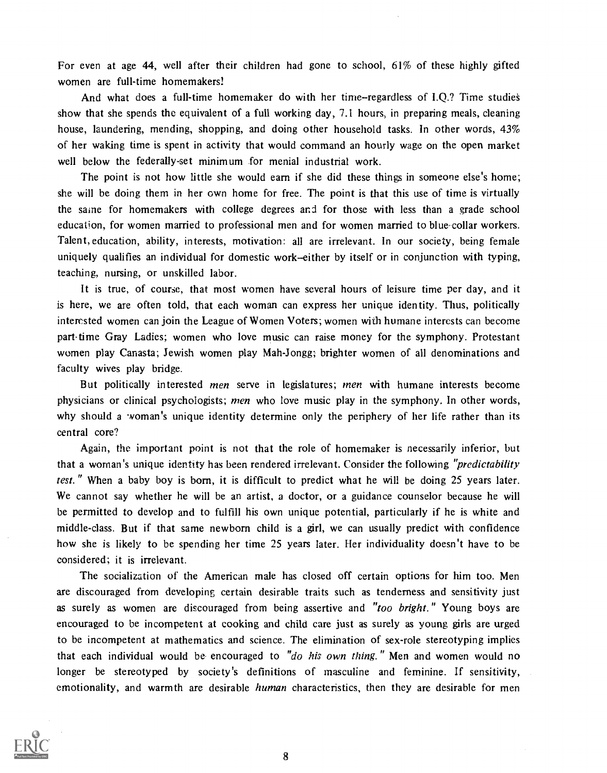For even at age 44, well after their children had gone to school, 61% of these highly gifted women are full-time homemakers!

And what does a full-time homemaker do with her time-regardless of I.Q.? Time studies show that she spends the equivalent of a full working day, 7.1 hours, in preparing meals, cleaning house, laundering, mending, shopping, and doing other household tasks. In other words, 43% of her waking time is spent in activity that would command an hourly wage on the open market well below the federally-set minimum for menial industrial work.

The point is not how little she would earn if she did these things in someone else's home; she will be doing them in her own home for free. The point is that this use of time is virtually the same for homemakers with college degrees and for those with less than a grade school education, for women married to professional men and for women married to blue collar workers. Talent, education, ability, interests, motivation: all are irrelevant. In our society, being female uniquely qualifies an individual for domestic work-either by itself or in conjunction with typing, teaching, nursing, or unskilled labor.

It is true, of course, that most women have several hours of leisure time per day, and it is here, we are often told, that each woman can express her unique identity. Thus, politically interested women can join the League of Women Voters; women with humane interests can become parttime Gray Ladies; women who love music can raise money for the symphony. Protestant women play Canasta; Jewish women play Mah-Jongg; brighter women of all denominations and faculty wives play bridge.

But politically interested men serve in legislatures; men with humane interests become physicians or clinical psychologists; men who love music play in the symphony. In other words, why should a woman's unique identity determine only the periphery of her life rather than its central core?

Again, the important point is not that the role of homemaker is necessarily inferior, but that a woman's unique identity has been rendered irrelevant. Consider the following "predictability" test." When a baby boy is born, it is difficult to predict what he will be doing 25 years later. We cannot say whether he will be an artist, a doctor, or a guidance counselor because he will be permitted to develop and to fulfill his own unique potential, particularly if he is white and middle-class. But if that same newborn child is a girl, we can usually predict with confidence how she is likely to be spending her time 25 years later. Her individuality doesn't have to be considered; it is irrelevant.

The socialization of the American male has closed off certain options for him too. Men are discouraged from developing certain desirable traits such as tenderness and sensitivity just as surely as women are discouraged from being assertive and "too bright." Young boys are encouraged to be incompetent at cooking and child care just as surely as young girls are urged to be incompetent at mathematics and science. The elimination of sex-role stereotyping implies that each individual would be encouraged to  $"do$  his own thing." Men and women would no longer be stereotyped by society's definitions of masculine and feminine. If sensitivity, emotionality, and warmth are desirable *human* characteristics, then they are desirable for men

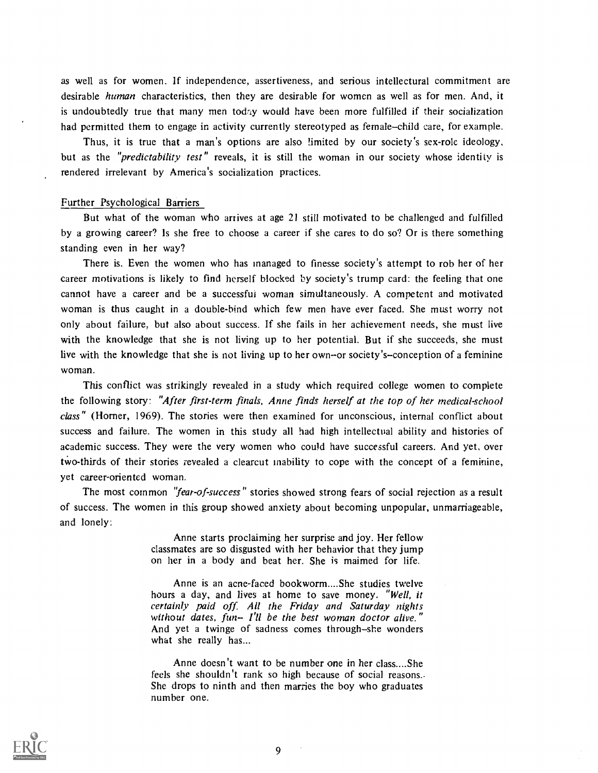as well as for women. If independence, assertiveness, and serious intellectural commitment are desirable *human* characteristics, then they are desirable for women as well as for men. And, it is undoubtedly true that many men today would have been more fulfilled if their socialization had permitted them to engage in activity currently stereotyped as female-child care, for example.

Thus, it is true that a man's options are also limited by our society's sex-role ideology, but as the "predictability test" reveals, it is still the woman in our society whose identity is rendered irrelevant by America's socialization practices.

#### Further Psychological Barriers

But what of the woman who arrives at age 21 still motivated to be challenged and fulfilled by a growing career? is she free to choose a career if she cares to do so? Or is there something standing even in her way?

There is. Even the women who has managed to finesse society's attempt to rob her of her career motivations is likely to find herself blocked by society's trump card: the feeling that one cannot have a career and be a successful woman simultaneously. A competent and motivated woman is thus caught in a double-bind which few men have ever faced. She must worry not only about failure, but also about success. If she fails in her achievement needs, she must live with the knowledge that she is not living up to her potential. But if she succeeds, she must live with the knowledge that she is not living up to her own-or society's-conception of a feminine woman.

This conflict was strikingly revealed in a study which required college women to complete the following story: "After first-term finals, Anne finds herself at the top of her medical-school class" (Horner, 1969). The stories were then examined for unconscious, internal conflict about success and failure. The women in this study all had high intellectual ability and histories of academic success. They were the very women who could have successful careers. And yet, over two- thirds of their stories revealed a clearcut inability to cope with the concept of a feminine, yet career-oriented woman.

The most common "fear-of-success" stories showed strong fears of social rejection as a result of success. The women in this group showed anxiety about becoming unpopular, unmarriageable, and lonely:

> Anne starts proclaiming her surprise and joy. Her fellow classmates are so disgusted with her behavior that they jump on her in a body and beat her. She is maimed for life.

> Anne is an acne-faced bookworm....She studies twelve hours a day, and lives at home to save money. "Well, it certainly paid off. All the Friday and Saturday nights without dates, fun-  $I'll$  be the best woman doctor alive." And yet a twinge of sadness comes through-she wonders what she really has...

> Anne doesn't want to be number one in her class....She feels she shouldn't rank so high because of social reasons. - She drops to ninth and then marries the boy who graduates number one.

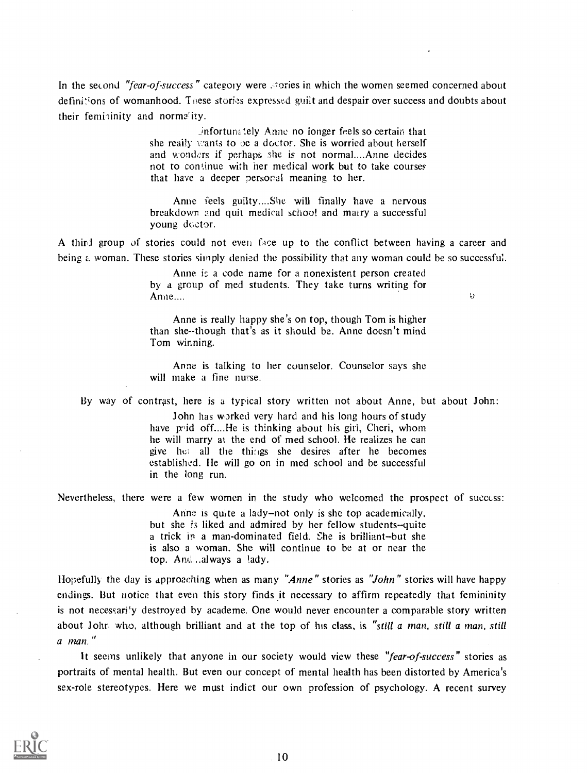In the second "fear-of-success" category were stories in which the women seemed concerned about definitions of womanhood. These stories expressed guilt and despair over success and doubts about their femininity and normality.

> \_infortura,tely Anne no longer feels so certain that she really wants to oe a doctor. She is worried about herself and wonders if perhaps she is not normal....Anne decides not to continue with her medical work but to take courses that have a deeper personal meaning to her.

> Anne feels guilty....She will finally have a nervous breakdown and quit medical schoo! and marry a successful young doctor.

A third group of stories could not even face up to the conflict between having a career and being z. woman. These stories simply denied the possibility that any woman could be so successful.

> Anne is a code name for a nonexistent person created by a group of med students. They take turns writing for Anne....

Ų.

Anne is really happy she's on top, though Tom is higher than she--though that's as it should be. Anne doesn't mind Tom winning.

Anne is talking to her counselor. Counselor says she will make a fine nurse.

By way of contrast, here is a typical story written not about Anne, but about John:

John has worked very hard and his long hours of study have poid off....He is thinking about his girl, Cheri, whom he will marry as the end of med school. He realizes he can give her all the things she desires after he becomes established. He will go on in med school and be successful in the long run.

Nevertheless, there were a few women in the study who welcomed the prospect of success:

Anne is quite a lady-not only is she top academically, but she is liked and admired by her fellow students-quite a trick in a man-dominated field. She is brilliant-but she is also a woman. She will continue to be at or near the top. And always a lady.

Hopefully the day is approaching when as many "Anne" stories as "John" stories will have happy endings. But notice that even this story finds it necessary to affirm repeatedly that femininity is not necessarily destroyed by academe. One would never encounter a comparable story written about John, who, although brilliant and at the top of his class, is "still a man, still a man, still a man."

It seems unlikely that anyone in our society would view these "fear-of-success" stories as portraits of mental health. But even our concept of mental health has been distorted by America's sex-role stereotypes. Here we must indict our own profession of psychology. A recent survey

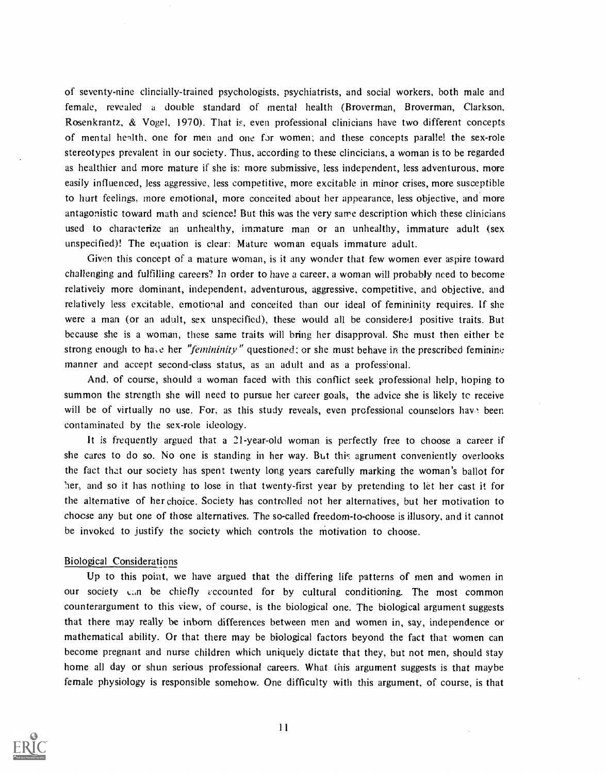of seventy-nine clincially-trained psychologists, psychiatrists, and social workers, both male and female, revealed <sup>a</sup> double standard of mental health (Broverman, Broverman, Clarkson. Rosenkrantz, & Vogel, 1970). That is, even professional clinicians have two different concepts of mental health, one for men and one for women; and these concepts parallel the sex-role stereotypes prevalent in our society. Thus, according to these clincicians, a woman is to be regarded as healthier and more mature if she is: more submissive, less independent, less adventurous, more easily influenced, less aggressive, less competitive, more excitable in minor crises, more susceptible to hurt feelings, more emotional, more conceited about her appearance, less objective, and more antagonistic toward math and science! But this was the very same description which these clinicians used to characterize an unhealthy, immature man or an unhealthy, immature adult (sex unspecified)! The equation is clear: Mature woman equals immature adult.

Given this concept of a mature woman, is it any wonder that few women ever aspire toward challenging and fulfilling careers? In order to have a career, a woman will probably need to become relatively more dominant, independent, adventurous, aggressive, competitive, and objective, and relatively less excitable, emotional and conceited than our ideal of femininity requires. If she were a man (or an adult, sex unspecified), these would all be considered positive traits. But because she is a woman, these same traits will bring her disapproval. She must then either be strong enough to have her "femininity" questioned; or she must behave in the prescribed feminine manner and accept second-class status, as an adult and as a professional.

And, of course, should a woman faced with this conflict seek professional help, hoping to summon the strength she will need to pursue her career goals, the advice she is likely to receive will be of virtually no use. For, as this study reveals, even professional counselors have been contaminated by the sex-role ideology.

It is frequently argued that a 21-year-old woman is perfectly free to choose a career if she cares to do so. No one is standing in her way. But this agrument conveniently overlooks the fact that our society has spent twenty long years carefully marking the woman's ballot for her, and so it has nothing to lose in that twenty-first year by pretending to let her cast it for the alternative of her choice. Society has controlled not her alternatives, but her motivation to choose any but one of those alternatives. The so-called freedom-to-choose is illusory, and it cannot be invoked to justify the society which controls the motivation to choose.

#### Biological Considerations

Up to this point, we have argued that the differing life patterns of men and women in our society L..n be chiefly accounted for by cultural conditioning. The most common counterargument to this view, of course, is the biological one. The biological argument suggests that there may really be inborn differences between men and women in, say, independence or mathematical ability. Or that there may be biological factors beyond the fact that women can become pregnant and nurse children which uniquely dictate that they, but not men, should stay home all day or shun serious professional careers. What this argument suggests is that maybe female physiology is responsible somehow. One difficulty with this argument, of course, is that

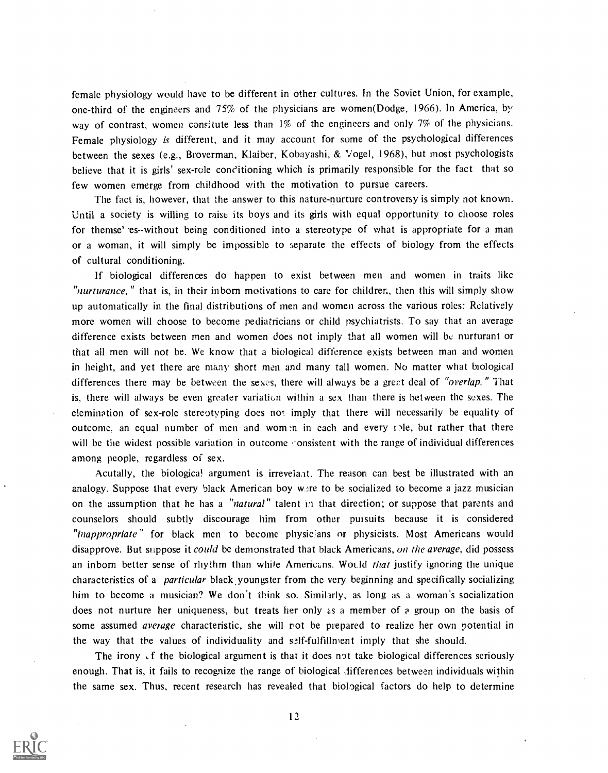female physiology would have to be different in other cultures. In the Soviet Union, for example, one-third of the engineers and 75% of the physicians are women(Dodge, 1966). In America, by way of contrast, women consitute less than 1% of the engineers and only 7% of the physicians. Female physiology is different, and it may account for some of the psychological differences between the sexes (e.g., Broverman, Klaiber, Kobayashi, & Vogel, 1968), but most psychologists believe that it is girls' sex-role conditioning which is primarily responsible for the fact that so few women emerge from childhood with the motivation to pursue careers.

The fact is, however, that the answer to this nature-nurture controversy is simply not known. Until a society is willing to raise its boys and its girls with equal opportunity to choose roles for themse' es--without being conditioned into a stereotype of what is appropriate for a man or a woman, it will simply be impossible to separate the effects of biology from the effects of cultural conditioning.

If biological differences do happen to exist between men and women in traits like "nurturance," that is, in their inborn motivations to care for children, then this will simply show up automatically in the final distributions of men and women across the various roles: Relatively more women will choose to become pediatricians or child psychiatrists. To say that an average difference exists between men and women does not imply that all women will be nurturant or that all men will not be. We know that a biological difference exists between man and women in height, and yet there are many short men and many tall women. No matter what biological differences there may be between the sexes, there will always be a great deal of "overlap." That is, there will always be even greater variation within a sex than there is between the sexes. The elemination of sex-role stereotyping does not imply that there will necessarily be equality of outcome, an equal number of men and women in each and every i?le, but rather that there will be the widest possible variation in outcome consistent with the range of individual differences among people, regardless of sex.

Acutally, the biologica! argument is irrevelant. The reason can best be illustrated with an analogy. Suppose that every black American boy were to be socialized to become a jazz musician on the assumption that he has a "*natural*" talent in that direction; or suppose that parents and counselors should subtly discourage him from other pursuits because it is considered "inappropriate" for black men to become physicians or physicists. Most Americans would disapprove. But suppose it could be demonstrated that black Americans, on the average, did possess an inborn better sense of rhythm than white Americans. Would *that* justify ignoring the unique characteristics of a *particular* black youngster from the very beginning and specifically socializing him to become a musician? We don't think so. Similarly, as long as a woman's socialization does not nurture her uniqueness, but treats her only as a member of a group on the basis of some assumed *average* characteristic, she will not be prepared to realize her own potential in the way that the values of individuality and self-fulfillment imply that she should.

The irony  $\zeta$  the biological argument is that it does not take biological differences scriously enough. That is, it fails to recognize the range of biological differences between individuals within the same sex. Thus, recent research has revealed that biological factors do help to determine

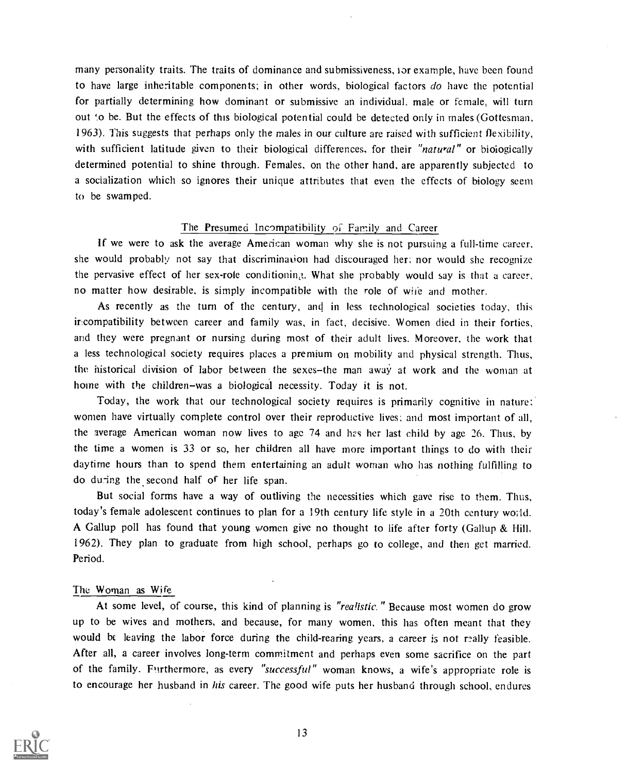many personality traits. The traits of dominance and submissiveness, for example, have been found to have large inheritable components; in other words, biological factors do have the potential for partially determining how dominant or submissive an individual, male or female, will turn out to be. But the effects of this biological potential could be detected only in males (Gottesman, 1963). This suggests that perhaps only the males in our culture are raised with sufficient flexibility, with sufficient latitude given to their biological differences, for their "natural" or biologically determined potential to shine through. Females, on the other hand, are apparently subjected to a socialization which so ignores their unique attributes that even the effects of biology seem to be swamped.

#### The Presumed Incompatibility of Family and Career

If we were to ask the average American woman why she is not pursuing a full-time career, she would probably not say that discrimination had discouraged hert nor would she recognize the pervasive effect of her sex-role conditioninj. What she probably would say is that a career, no matter how desirable, is simply incompatible with the role of wile and mother.

As recently as the turn of the century, and in less technological societies today, this incompatibility between career and family was, in fact, decisive. Women died in their forties, and they were pregnant or nursing during most of their adult lives. Moreover, the work that a less technological society requires places a premium on mobility and physical strength. Thus, the historical division of labor between the sexes-the man away at work and the woman at home with the children-was a biological necessity. Today it is not.

Today, the work that our technological society requires is primarily cognitive in nature:' women have virtually complete control over their reproductive lives; and most important of all, the average American woman now lives to age 74 and has her last child by age 26. Thus, by the time a women is 33 or so, her children all have more important things to do with their daytime hours than to spend them entertaining an adult woman who has nothing fulfilling to do during the second half of her life span.

But social forms have a way of outliving the necessities which gave rise to them. Thus, today's female adolescent continues to plan for a 19th century life style in a 20th century world. A Gallup poll has found that young women give no thought to life after forty (Gallup & Hill, 1962). They plan to graduate from high school, perhaps go to college, and then get married. Period.

#### The Woman as Wife

At some level, of course, this kind of planning is "realistic." Because most women do grow up to be wives and mothers, and because, for many women, this has often meant that they would be leaving the labor force during the child-rearing years, a career is not really feasible. After all, a career involves long-term commitment and perhaps even some sacrifice on the part of the family. Furthermore, as every "successful" woman knows, a wife's appropriate role is to encourage her husband in his career. The good wife puts her husband through school, endures

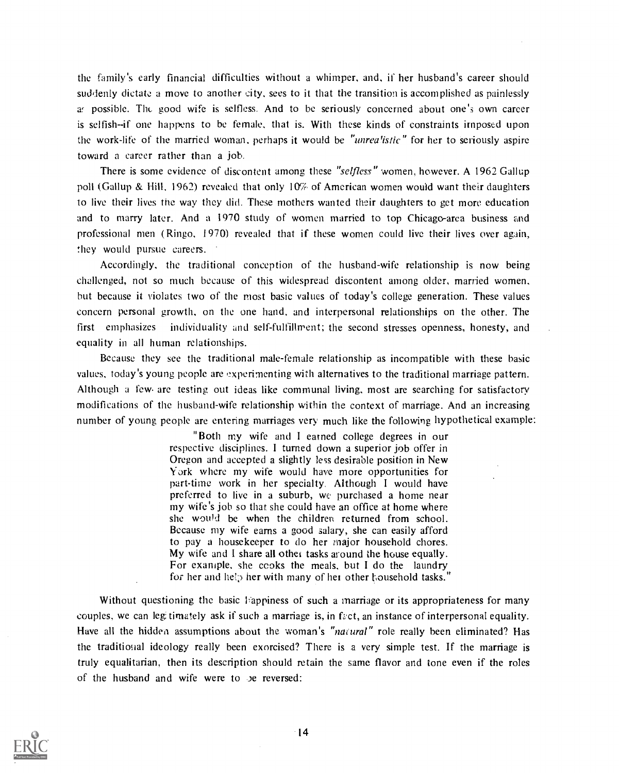the family's early financial difficulties without a whimper, and, if her husband's career should suddenly dictate a move to another city, sees to it that the transition is accomplished as painlessly as possible. The good wife is selfless. And to be seriously concerned about one's own career is selfish--if one happens to be female, that is. With these kinds of constraints imposed upon the work-life of the married woman, perhaps it would be "unrealistic" for her to seriously aspire toward a career rather than a job.

There is some evidence of discontent among these "selfless" women, however. A 1962 Gallup poll (Gallup & Hill, 1962) revealed that only 10% of American women would want their daughters to live their lives the way they did. These mothers wanted their daughters to get more education and to marry later. And a 1970 study of women married to top Chicago-area business and professional men (Ringo, 1970) revealed that if these women could live their lives over again, they would pursue careers.

Accordingly, the traditional conception of the husband-wife relationship is now being challenged, not so much because of this widespread discontent among older, married women, but because it violates two of the most basic values of today's college generation. These values concern personal growth, on the one hand, and interpersonal relationships on the other. The first emphasizes individuality and self-fulfillment; the second stresses openness, honesty, and equality in all human relationships.

Because they see the traditional male-female relationship as incompatible with these basic values, today's young people are experimenting with alternatives to the traditional marriage pattern. Although a few. are testing out ideas like communal living, most are searching for satisfactory modifications of the husband-wife relationship within the context of marriage. And an increasing number of young people are entering marriages very much like the following hypothetical example:

> "Both my wife and I earned college degrees in our respective disciplines. I turned down a superior job offer in Oregon and accepted a slightly less desirable position in New York where my wife would have more opportunities for part-time work in her specialty, Although <sup>I</sup> would have preferred to live in a suburb, we purchased a home near my wife's job so that she could have an office at home where she would be when the children returned from school. Because my wife earns a good salary, she can easily afford to pay a housekeeper to do her major household chores. My wife and I share all other tasks around the house equally. For example, she cooks the meals, but I do the laundry for her and help her with many of her other household tasks."

Without questioning the basic happiness of such a marriage or its appropriateness for many couples, we can leg timately ask if such a marriage is, in fact, an instance of interpersonal equality. Have all the hidden assumptions about the woman's " $n\alpha\beta$ " role really been eliminated? Has the traditional ideology really been exorcised? There is a very simple test. If the marriage is truly equalitarian, then its description should retain the same flavor and tone even if the roles of the husband and wife were to Je reversed:

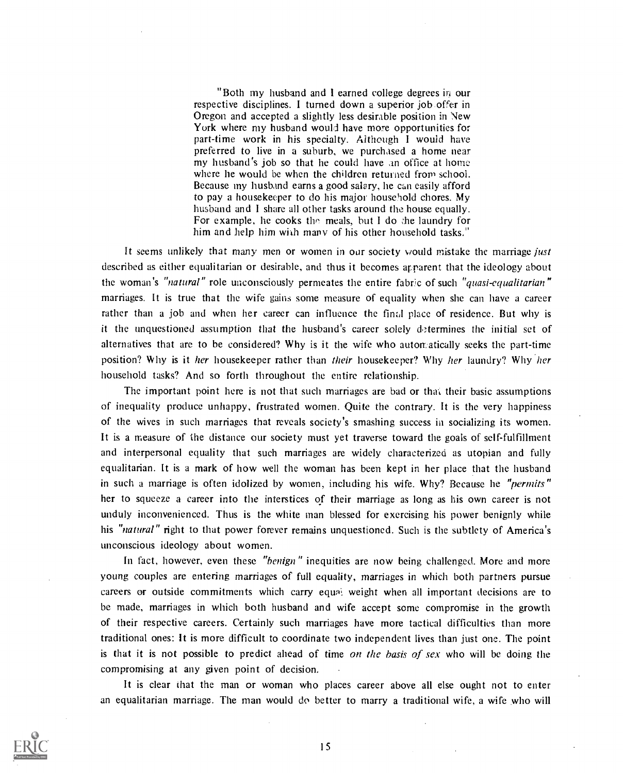"Both my husband and I earned college degrees in our respective disciplines. I turned down a superior job offer in Oregon and accepted a slightly less desirable position in New York where my husband would have more opportunities for part-time work in his specialty. Although <sup>I</sup> would have preferred to live in a suburb, we purchased a home near my husband's job so that he could have an office at home where he would be when the children returned from school. Because my husband earns a good salary, he can easily afford to pay a housekeeper to do his major household chores. My husband and I share all other tasks around the house equally. For example, he cooks the meals, but I do the laundry for him and help him with many of his other household tasks."

It seems unlikely that many men or women in our society would mistake the marriage just described as either equalitarian or desirable, and thus it becomes arparent that the ideology about the woman's "*natural*" role unconsciously permeates the entire fabric of such "*quasi-equalitarian*" marriages. It is true that the wife gains some measure of equality when she can have a career rather than a job and when her career can influence the final place of residence. But why is it the unquestioned assumption that the husband's career solely determines the initial set of alternatives that are to be considered? Why is it the wife who automatically seeks the part-time position? Why is it her housekeeper rather than their housekeeper? Why her laundry? Why her household tasks? And so forth throughout the entire relationship.

The important point here is not that such marriages are bad or that their basic assumptions of inequality produce unhappy, frustrated women. Quite the contrary. It is the very happiness of the wives in such marriages that reveals society's smashing success in socializing its women. It is a measure of the distance our society must yet traverse toward the goals of self-fulfillment and interpersonal equality that such marriages are widely characterized as utopian and fully equalitarian. It is a mark of how well the woman has been kept in her place that the husband in such a marriage is often idolized by women, including his wife. Why? Because he "permits" her to squeeze a career into the interstices of their marriage as long as his own career is not unduly inconvenienced. Thus is the white man blessed for exercising his power benignly while his "natural" right to that power forever remains unquestioned. Such is the subtlety of America's unconscious ideology about women.

In fact, however, even these "benign" inequities are now being challenged. More and more young couples are entering marriages of full equality, marriages in which both partners pursue careers or outside commitments which carry equal weight when all important decisions are to be made, marriages in which both husband and wife accept some compromise in the growth of their respective careers. Certainly such marriages have more tactical difficulties than more traditional ones: It is more difficult to coordinate two independent lives than just one. The point is that it is not possible to predict ahead of time on the basis of sex who will be doing the compromising at any given point of decision.

It is clear that the man or woman who places career above all else ought not to enter an equalitarian marriage. The man would do better to marry a traditional wife, a wife who will

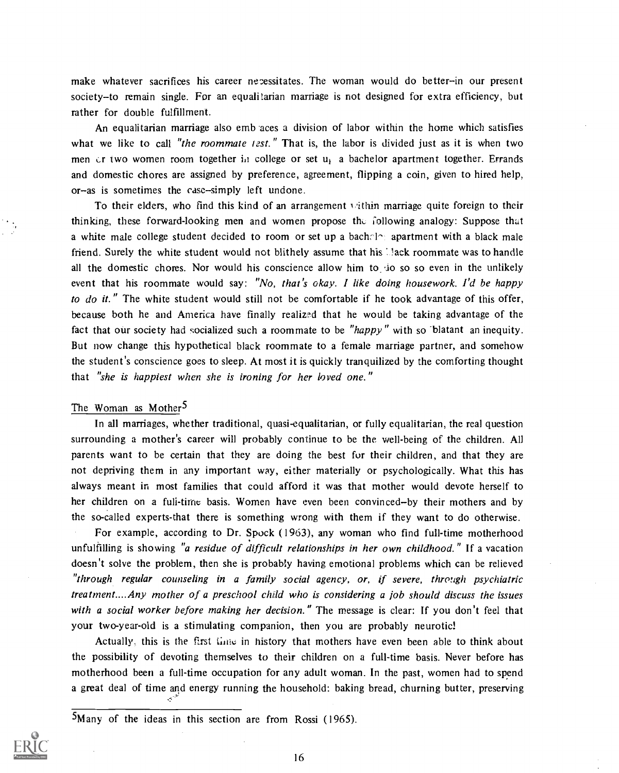make whatever sacrifices his career necessitates. The woman would do better-in our present society-to remain single. For an equalitarian marriage is not designed for extra efficiency, but rather for double fulfillment.

An equalitarian marriage also emb aces a division of labor within the home which satisfies what we like to call "the roommate test." That is, the labor is divided just as it is when two men  $cr$  two women room together in college or set u<sub>t</sub> a bachelor apartment together. Errands and domestic chores are assigned by preference, agreement, flipping a coin, given to hired help, or-as is sometimes the case-simply left undone.

To their elders, who find this kind of an arrangement within marriage quite foreign to their thinking, these forward-looking men and women propose tlk. following analogy: Suppose that a white male college student decided to room or set up a bach $\triangle$  apartment with a black male friend. Surely the white student would not blithely assume that his tack roommate was to handle all the domestic chores. Nor would his conscience allow him to do so so even in the unlikely event that his roommate would say: "No, that's okay. I like doing housework. I'd be happy to do it." The white student would still not be comfortable if he took advantage of this offer, because both he and America have finally realized that he would be taking advantage of the fact that our society had socialized such a roommate to be "happy" with so 'blatant an inequity. But now change this hypothetical black roommate to a female marriage partner, and somehow the student's conscience goes to sleep. At most it is quickly tranquilized by the comforting thought that "she is happiest when she is ironing for her loved one."

#### The Woman as Mother<sup>5</sup>

In all marriages, whether traditional, quasi-equalitarian, or fully equalitarian, the real question surrounding a mother's career will probably continue to be the well-being of the children. Al] parents want to be certain that they are doing the best for their children, and that they are not depriving them in any important way, either materially or psychologically. What this has always meant in most families that could afford it was that mother would devote herself to her children on a full-time basis. Women have even been convinced-by their mothers and by the so-called experts-that there is something wrong with them if they want to do otherwise.

For example, according to Dr. Spock (1963), any woman who find full-time motherhood unfulfilling is showing "a residue of difficult relationships in her own childhood." If a vacation doesn't solve the problem, then she is probably having emotional problems which can be relieved "through regular counseling in a family social agency, or, if severe, through psychiatric treatment.... Any mother of a preschool child who is considering a job should discuss the issues with a social worker before making her decision." The message is clear: If you don't feel that your two-year-old is a stimulating companion, then you are probably neurotic!

Actually, this is the first in history that mothers have even been able to think about the possibility of devoting themselves to their children on a full-time basis. Never before has motherhood been a full-time occupation for any adult woman. In the past, women had to spend a great deal of time and energy running the household: baking bread, churning butter, preserving

<sup>&</sup>lt;sup>5</sup>Many of the ideas in this section are from Rossi (1965).

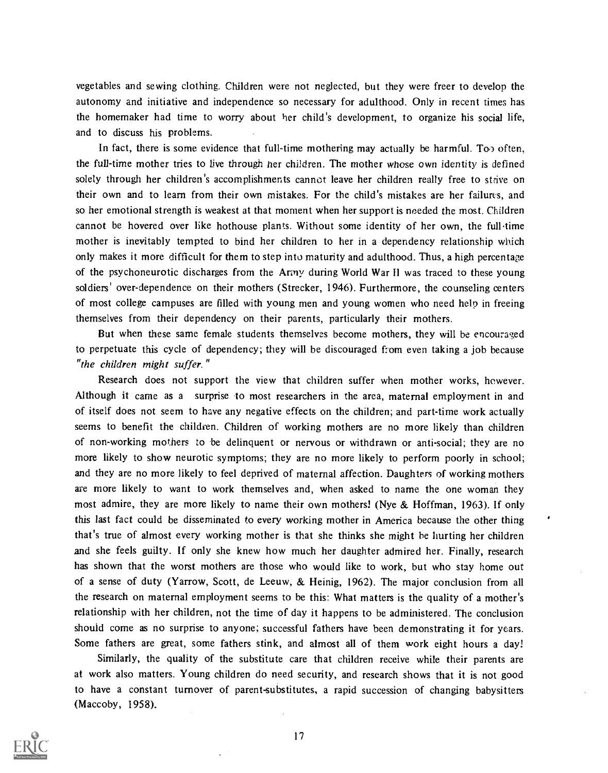vegetables and sewing clothing. Children were not neglected, but they were freer to develop the autonomy and initiative and independence so necessary for adulthood. Only in recent times has the homemaker had time to worry about her child's development, to organize his social life, and to discuss his problems.

In fact, there is some evidence that full-time mothering may actually be harmful. To) often, the full-time mother tries to live through her children. The mother whose own identity is defined solely through her children's accomplishments cannot leave her children really free to strive on their own and to learn from their own mistakes. For the child's mistakes are her failures, and so her emotional strength is weakest at that moment when her support is needed the most. Children cannot be hovered over like hothouse plants. Without some identity of her own, the full-time mother is inevitably tempted to bind her children to her in a dependency relationship which only makes it more difficult for them to step into maturity and adulthood. Thus, a high percentage of the psychoneurotic discharges from the Arty during World War II was traced to these young soldiers' over-dependence on their mothers (Strecker, 1946). Furthermore, the counseling centers of most college campuses are filled with young men and young women who need help in freeing themselves from their dependency on their parents, particularly their mothers.

But when these same female students themselves become mothers, they will be encouraged to perpetuate this cycle of dependency; they will be discouraged from even taking a job because "the children might suffer."

Research does not support the view that children suffer when mother works, however. Although it came as a surprise to most researchers in the area, maternal employment in and of itself does not seem to have any negative effects on the children; and part-time work actually seems to benefit the children. Children of working mothers are no more likely than children of non-working mothers to be delinquent or nervous or withdrawn or anti-social; they are no more likely to show neurotic symptoms; they are no more likely to perform poorly in school; and they are no more likely to feel deprived of maternal affection. Daughters of working mothers are more likely to want to work themselves and, when asked to name the one woman they most admire, they are more likely to name their own mothers! (Nye & Hoffman, 1963). If only this last fact could be disseminated to every working mother in America because the other thing that's true of almost every working mother is that she thinks she might he hurting her children and she feels guilty. If only she knew how much her daughter admired her. Finally, research has shown that the worst mothers are those who would like to work, but who stay home out of a sense of duty (Yarrow, Scott, de Leeuw, & Heinig, 1962). The major conclusion from all the research on maternal employment seems to be this: What matters is the quality of a mother's relationship with her children, not the time of day it happens to be administered. The conclusion should come as no surprise to anyone; successful fathers have been demonstrating it for years. Some fathers are great, some fathers stink, and almost all of them work eight hours a day!

Similarly, the quality of the substitute care that children receive while their parents are at work also matters. Young children do need security, and research shows that it is not good to have a constant turnover of parent-substitutes, a rapid succession of changing babysitters (Maccoby, 1958).

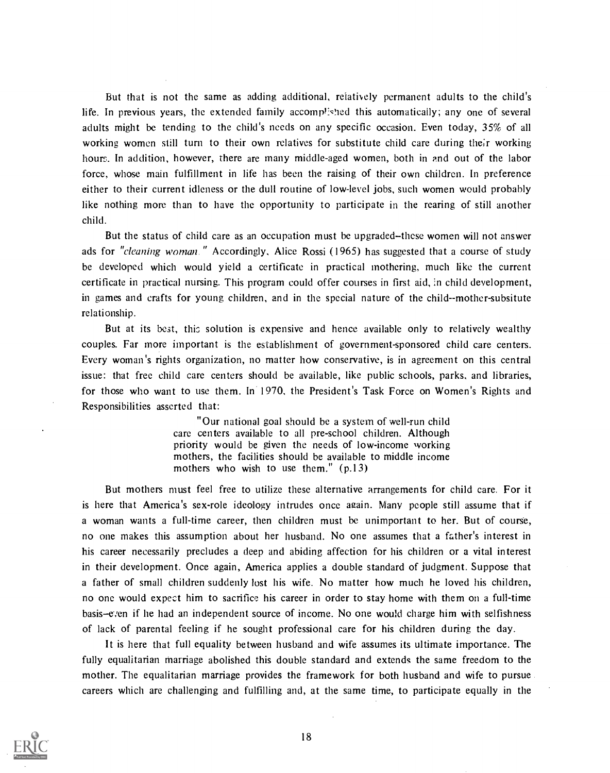But that is not the same as adding additional, relatively permanent adults to the child's life. In previous years, the extended family accomplished this automatically; any one of several adults might be tending to the child's needs on any specific occasion. Even today, 35% of all working women still turn to their own relatives for substitute child care during their working hours. In addition, however, there are many middle-aged women, both in and out of the labor force, whose main fulfillment in life has been the raising of their own children. In preference either to their current idleness or the dull routine of low-level jobs, such women would probably like nothing more than to have the opportunity to participate in the rearing of still another child.

But the status of child care as an occupation must be upgraded-these women will not answer ads for "cleaning woman." Accordingly, Alice Rossi (1965) has suggested that a course of study be developed which would yield a certificate in practical mothering, much like the current certificate in practical nursing. This program could offer courses in first aid, In child development, in games and crafts for young children, and in the special nature of the child--mother-subsitute relationship.

But at its best, this solution is expensive and hence available only to relatively wealthy couples. Far more important is the establishment of government-sponsored child care centers. Every woman's rights organization, no matter how conservative, is in agreement on this central issue: that free child care centers should be available, like public schools, parks, and libraries, for those who want to use them. In 1970, the President's Task Force on Women's Rights and Responsibilities asserted that:

> "Our national goal should be a system of well-run child care centers available to all pre-school children. Although priority would be given the needs of low-income working mothers, the facilities should be available to middle income mothers who wish to use them." (p.13)

But mothers must feel free to utilize these alternative arrangements for child care, For it is here that America's sex-role ideology intrudes once again. Many people still assume that if a woman wants a full-time career, then children must be unimportant to her. But of course, no one makes this assumption about her husband. No one assumes that a father's interest in his career necessarily precludes a deep and abiding affection for his children or a vital interest in their development. Once again, America applies a double standard of judgment. Suppose that a father of small children suddenly lost his wife. No matter how much he loved his children, no one would expect him to sacrifice his career in order to stay home with them on a full-time basis-even if he had an independent source of income. No one would charge him with selfishness of lack of parental feeling if he sought professional care for his children during the day.

It is here that full equality between husband and wife assumes its ultimate importance. The fully equalitarian marriage abolished this double standard and extends the same freedom to the mother. The equalitarian marriage provides the framework for both husband and wife to pursue careers which are challenging and fulfilling and, at the same time, to participate equally in the

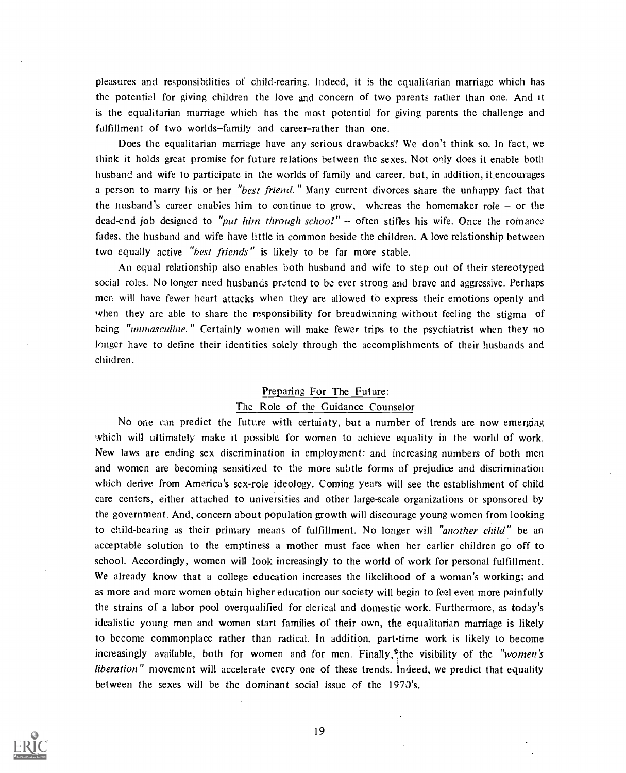pleasures and responsibilities of child-rearing. Indeed, it is the equalitarian marriage which has the potential for giving children the love and concern of two parents rather than one. And it is the equalitarian marriage which has the most potential for giving parents the challenge and fulfillment of two worlds-family and career-rather than one.

Does the equalitarian marriage have any serious drawbacks? We don't think so. In fact, we think it holds great promise for future relations between the sexes. Not only does it enable both husband and wife to participate in the worlds of family and career, but, in addition, it encourages a person to marry his or her "best friend." Many current divorces share the unhappy fact that the husband's career enabies him to continue to grow, whereas the homemaker role  $-$  or the dead-end job designed to "put him through school"  $-$  often stifles his wife. Once the romance fades, the husband and wife have little in common beside the children. A love relationship between two equally active "best friends" is likely to be far more stable.

An equal relationship also enables both husband and wife to step out of their stereotyped social roles. No longer need husbands pretend to be ever strong and brave and aggressive. Perhaps men will have fewer heart attacks when they are allowed to express their emotions openly and when they are able to share the responsibility for breadwinning without feeling the stigma of being "unmasculine." Certainly women will make fewer trips to the psychiatrist when they no longer have to define their identities solely through the accomplishments of their husbands and children.

# Preparing For The Future: The Role of the Guidance Counselor

No one can predict the future with certainty, but a number of trends are now emerging which will ultimately make it possible for women to achieve equality in the world of work. New laws are ending sex discrimination in employment; and increasing numbers of both men and women are becoming sensitized to the more subtle forms of prejudice and discrimination which derive from America's sex-role ideology. Coming years will see the establishment of child care centers, either attached to universities and other large-scale organizations or sponsored by the government. And, concern about population growth will discourage young women from looking to child-bearing as their primary means of fulfillment. No longer will "another child" be an acceptable solution to the emptiness a mother must face when her earlier children go off to school. Accordingly, women will look increasingly to the world of work for personal fulfillment. We already know that a college education increases the likelihood of a woman's working; and as more and more women obtain higher education our society will begin to feel even more painfully the strains of a labor pool overqualified for clerical and domestic work. Furthermore, as today's idealistic young men and women start families of their own, the equalitarian marriage is likely to become commonplace rather than radical. In addition, part-time work is likely to become increasingly available, both for women and for men. Finally,<sup>the</sup> visibility of the "women's *liberation*" movement will accelerate every one of these trends. Indeed, we predict that equality between the sexes will be the dominant social issue of the 1973's.

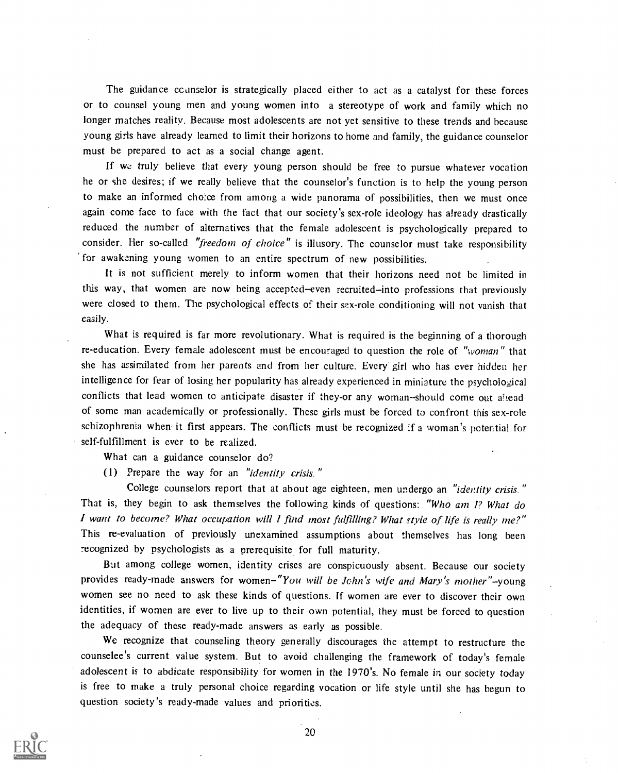The guidance counselor is strategically placed either to act as a catalyst for these forces or to counsel young men and young women into a stereotype of work and family which no longer matches reality. Because most adolescents are not yet sensitive to these trends and because young girls have already learned to limit their horizons to home and family, the guidance counselor must be prepared to act as a social change agent.

If we truly believe that every young person should be free to pursue whatever vocation he or she desires; if we really believe that the counselor's function is to help the young person to make an informed cho:ce from among a wide panorama of possibilities, then we must once again come face to face with the fact that our society's sex-role ideology has already drastically reduced the number of alternatives that the female adolescent is psychologically prepared to consider. Her so-called "freedom of choice" is illusory. The counselor must take responsibility for awakening young women to an entire spectrum of new possibilities.

It is not sufficient merely to inform women that their horizons need not be limited in this way, that women are now being accepted-even recruited-into professions that previously were closed to them. The psychological effects of their sex-role conditioning will not vanish that easily.

What is required is far more revolutionary. What is required is the beginning of a thorough re-education. Every female adolescent must be encouraged to question the role of "woman" that she has assimilated from her parents and from her culture. Every girl who has ever hidden her intelligence for fear of losing her popularity has already experienced in miniature the psychological conflicts that lead women to anticipate disaster if they-or any woman--should come out ailead of some man academically or professionally. These girls must be forced to confront this sex-role schizophrenia when it first appears. The conflicts must be recognized if a woman's potential for self-fulfillment is ever to be realized.

What can a guidance counselor do?

(1) Prepare the way for an "identity crisis. "

College counselors report that at about age eighteen, men undergo an "identity crisis." That is, they begin to ask themselves the following kinds of questions: "Who am I? What do I want to become? What occupation will I find most fulfilling? What style of life is really me?" This re-evaluation of previously unexamined assumptions about themselves has long been recognized by psychologists as a prerequisite for full maturity.

But among college women, identity crises are conspicuously absent. Because our society provides ready-made answers for women-"You will be John's wife and Mary's mother"-young women see no need to ask these kinds of questions. If women are ever to discover their own identities, if women are ever to live up to their own potential, they must be forced to question the adequacy of these ready-made answers as early as possible.

We recognize that counseling theory generally discourages the attempt to restructure the counselee's current value system. But to avoid challenging the framework of today's female adolescent is to abdicate responsibility for women in the 1970's. No female in our society today is free to make a truly personal choice regarding vocation or life style until she has begun to question society's ready-made values and priorities.

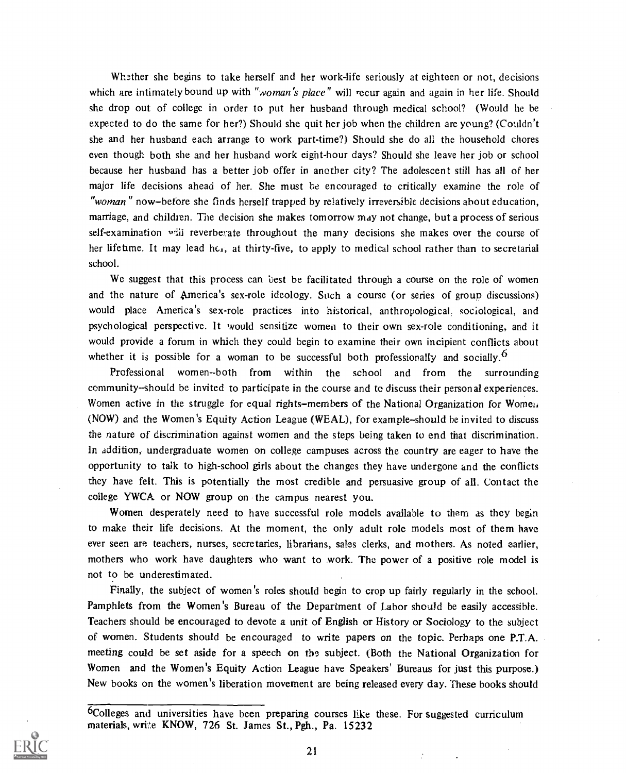Whether she begins to take herself and her work-life seriously at eighteen or not, decisions which are intimately bound up with "woman's place" will recur again and again in her life. Should she drop out of college in order to put her husband through medical school? (Would he be expected to do the same for her?) Should she quit her job when the children are young? (Couldn't she and her husband each arrange to work part-time?) Should she do all the household chores even though both she and her husband work eight-hour days? Should she leave her job or school because her husband has a better job offer in another city? The adolescent still has all of her major life decisions ahead of her. She must be encouraged to critically examine the role of "woman" now-before she finds herself trapped by relatively irreversible decisions about education, marriage, and children. The decision she makes tomorrow may not change, but a process of serious self-examination will reverbe ate throughout the many decisions she makes over the course of her lifetime. It may lead hci, at thirty-five, to apply to medical school rather than to secretarial school.

We suggest that this process can best be facilitated through a course on the role of women and the nature of America's sex-role ideology. Such a course (or series of group discussions) would place America's sex-role practices into historical, anthropological sociological, and psychological perspective. It would sensitize women to their own sex-role conditioning, and it would provide a forum in which they could begin to examine their own incipient conflicts about whether it is possible for a woman to be successful both professionally and socially.<sup>6</sup>

Professional women-both from within the school and from the surrounding community-should be invited to participate in the course and to discuss their personal experiences. Women active in the struggle for equal rights-members of the National Organization for Women. (NOW) and the Women's Equity Action League (WEAL), for example-should be invited to discuss the nature of discrimination against women and the steps being taken to end that discrimination. In addition, undergraduate women on college campuses across the country are eager to have the opportunity to talk to high-school girls about the changes they have undergone and the conflicts they have felt. This is potentially the most credible and persuasive group of all. Contact the college YWCA or NOW group on the campus nearest you.

Women desperately need to have successful role models available to them as they begin to make their life decisions. At the moment, the only adult role models most of them have ever seen are teachers, nurses, secretaries, librarians, sales clerks, and mothers. As noted earlier, mothers who work have daughters who want to work. The power of a positive role model is not to be underestimated.

Finally, the subject of women's roles should begin to crop up fairly regularly in the school. Pamphlets from the Women's Bureau of the Department of Labor should be easily accessible. Teachers should be encouraged to devote a unit of English or History or Sociology to the subject of women. Students should be encouraged to write papers on the topic. Perhaps one P.T.A. meeting could be set aside for a speech on the subject. (Both the National Organization for Women and the Women's Equity Action League have Speakers' Bureaus for just this purpose.) New books on the women's liberation movement are being released every day. These books should

<sup>6</sup>Colleges and universities have been preparing courses like these. For suggested curriculum materials, write KNOW, 726 St. James St., Pgh., Pa. 15232

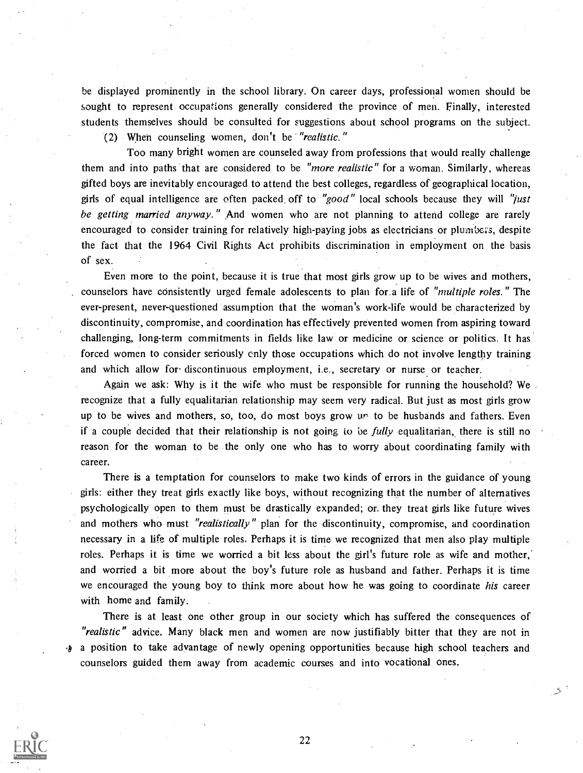be displayed prominently in the school library. On career days, professional women should be sought to represent occupations generally considered the province of men. Finally, interested students themselves should be consulted for suggestions about school programs on the subject.

(2) When counseling women, don't be "realistic."

Too many bright women are counseled away from professions that would really challenge them and into paths that are considered to be "more realistic" for a woman. Similarly, whereas gifted boys are inevitably encouraged to attend the best colleges, regardless of geographical location, girls of equal intelligence are often packed off to "good" local schools because they will "just be getting married anyway." And women who are not planning to attend college are rarely encouraged to consider training for relatively high-paying jobs as electricians or plumbers, despite the fact that the 1964 Civil Rights Act prohibits discrimination in employment on the basis of sex.

Even more to the point, because it is true that most girls grow up to be wives and mothers, counselors have consistently urged female adolescents to plan for a life of "multiple roles." The ever-present, never-questioned assumption that the woman's work-life would be characterized by discontinuity, compromise, and coordination has effectively prevented women from aspiring toward challenging, long-term commitments in fields like law or medicine or science or politics. It has forced women to consider seriously only those occupations which do not involve lengthy training and which allow for discontinuous employment, i.e., secretary or nurse or teacher.

Again we ask: Why is it the wife who must be responsible for running the household? We recognize that a fully equalitarian relationship may seem very radical. But just as most girls grow up to be wives and mothers, so, too, do most boys grow  $\mathbf{u}$  to be husbands and fathers. Even if a couple decided that their relationship is not going to be fully equalitarian, there is still no reason for the woman to be the only one who has to worry about coordinating family with career.

There is a temptation for counselors to make two kinds of errors in the guidance of young girls: either they treat girls exactly like boys, without recognizing that the number of alternatives psychologically open to them must be drastically expanded; or. they treat girls like future wives and mothers who must "realistically" plan for the discontinuity, compromise, and coordination necessary in a life of multiple roles. Perhaps it is time we recognized that men also play multiple roles. Perhaps it is time we worried a bit less about the girl's future role as wife and mother, and worried a bit more about the boy's future role as husband and father. Perhaps it is time we encouraged the young boy to think more about how he was going to coordinate his career with home and family.

There is at least one other group in our society which has suffered the consequences of "realistic" advice. Many black men and women are now justifiably bitter that they are not in a position to take advantage of newly opening opportunities because high school teachers and counselors guided them away from academic courses and into vocational ones.

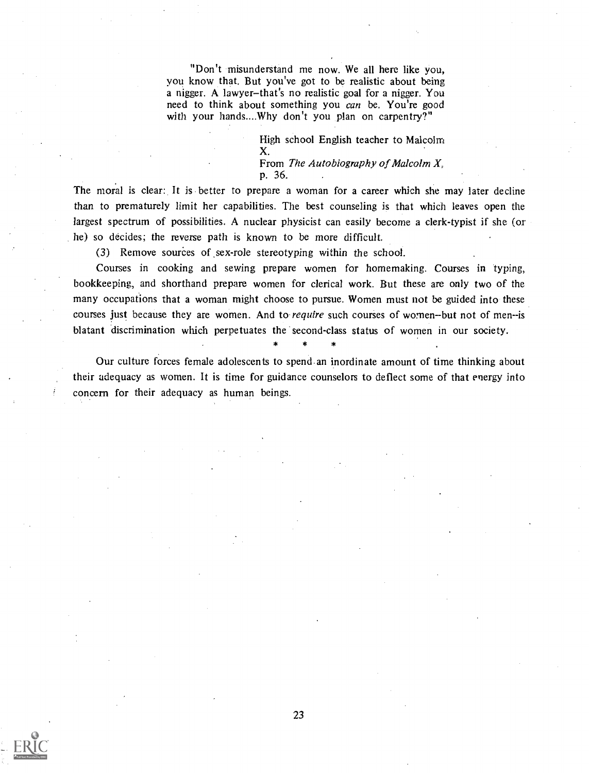"Don't misunderstand me now. We all here like you, you know that. But you've got to be realistic about being a nigger. A lawyer-that's no realistic goal for a nigger. You need to think about something you can be. You're good with your hands....Why don't you plan on carpentry?"

> High school English teacher to Malcolm X. From The Autobiography of Malcolm  $X<sub>1</sub>$ p. 36.

The moral is clear: It is better to prepare a woman for a career which she may later decline than to prematurely limit her capabilities. The best counseling is that which leaves open the largest spectrum of possibilities. A nuclear physicist can easily become a clerk-typist if she (or he) so decides; the reverse path is known to be more difficult.

(3) Remove sources of sex-role stereotyping within the school.

Courses in cooking and sewing prepare women for homemaking. Courses in typing, bookkeeping, and shorthand prepare women for clerical work. But these are only two of the many occupations that a woman might choose to pursue. Women must not be guided into these courses just because they are women. And to *require* such courses of women--but not of men--is blatant discrimination which perpetuates the second-class status of women in our society.

Our culture forces female adolescents to spend an inordinate amount of time thinking about their adequacy as women. It is time for guidance counselors to deflect some of that energy into concern for their adequacy as human beings.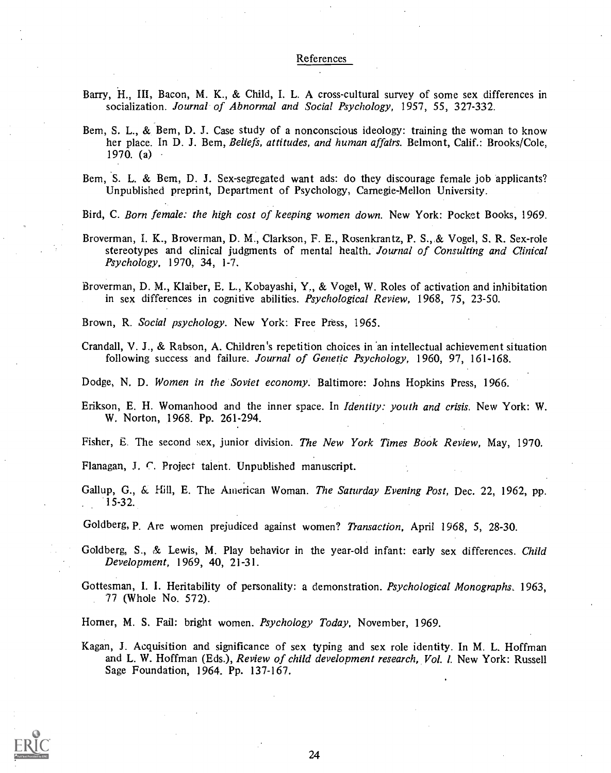#### References

- Barry, H., III, Bacon, M. K., & Child, I. L. A cross-cultural survey of some sex differences in socialization. Journal of Abnormal and Social Psychology, 1957, 55, 327-332.
- Bem, S. L., & Bem, D. J. Case study of a nonconscious ideology: training the woman to know her place. In D. J. Bem, Beliefs, attitudes, and human affairs. Belmont, Calif.: Brooks/Cole, 1970. (a)
- Bem, S. L. & Bem, D. J. Sex-segregated want ads: do they discourage female job applicants? Unpublished preprint, Department of Psychology, Carnegie-Mellon University.

Bird, C. Born female: the high cost of keeping women down. New York: Pocket Books, 1969.

- Broverman, I. K., Broverman, D. M., Clarkson, F. E., Rosenkrantz, P. S., & Vogel, S. R. Sex-role stereotypes and clinical judgments of mental health. Journal of Consulting and Clinical Psychology, 1970, 34, 1-7.
- Broverman, D. M., Klaiber, E. L., Kobayashi, Y., & Vogel, W. Roles of activation and inhibitation in sex differences in cognitive abilities. Psychological Review, 1968, 75, 23-50.

Brown, R. Social psychology. New York: Free Press, 1965.

Crandall, V. J., & Rabson, A. Children's repetition choices in an intellectual achievement situation following success and failure. Journal of Genetic Psychology, 1960, 97, 161-168.

Dodge, N. D. Women in the Soviet economy. Baltimore: Johns Hopkins Press, 1966.

Erikson, E. H. Womanhood and the inner space. In Identity: youth and crisis. New York: W. W. Norton, 1968. Pp. 261-294.

Fisher, E. The second sex, junior division. The New York Times Book Review, May, 1970.

Flanagan, J. C. Project talent. Unpublished manuscript.

Gallup, G., & Hill, E. The American Woman. The Saturday Evening Post, Dec. 22, 1962, pp. 15-32.

Goldberg, P. Are women prejudiced against women? Transaction, April 1968, 5, 28-30.

Goldberg, S., & Lewis, M. Play behavior in the year-old infant: early sex differences. Child Development, 1969, 40, 21-31.

Gottesman, I. I. Heritability of personality: a demonstration. Psychological Monographs. 1963, 77 (Whole No. 572).

Horner, M. S. Fail: bright women. Psychology Today, November, 1969.

Kagan, J. Acquisition and significance of sex typing and sex role identity. In M. L. Hoffman and L. W. Hoffman (Eds.), Review of child development research, Vol. 1. New York: Russell Sage Foundation, 1964. Pp. 137-167.